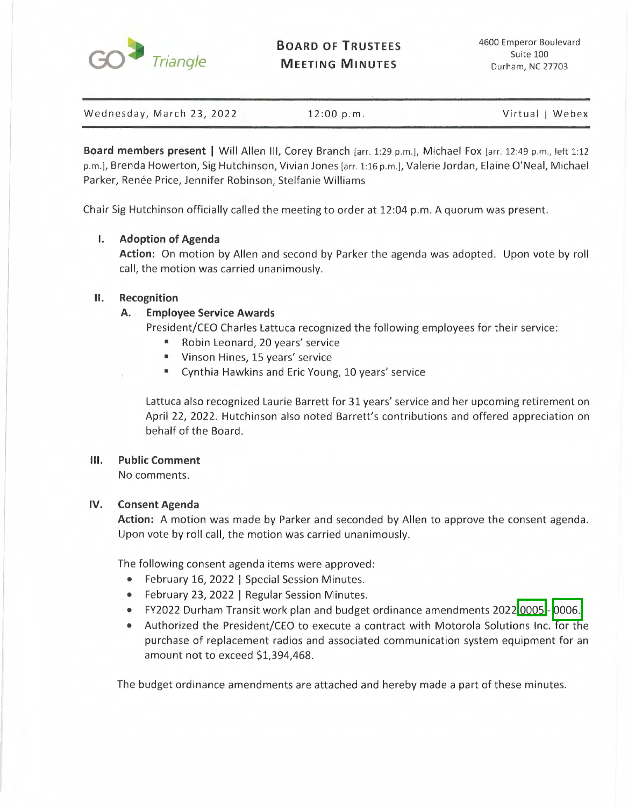

**BOARD OF TRUSTEES MEETING MINUTES** 

| Wednesday, March 23, 2022 | 12:00 p.m. | Virtual   Webex |
|---------------------------|------------|-----------------|

**Board members present** I Will Allen Ill, Corey Branch [arr. 1:29 p.m.], Michael Fox [arr. 12:49 p.m., left 1:12 p.m.], Brenda Howerton, Sig Hutchinson, Vivian Jones [arr. 1:16 p.m.], Valerie Jordan, Elaine O'Neal, Michael Parker, Renée Price, Jennifer Robinson, Stelfanie Williams

Chair Sig Hutchinson officially called the meeting to order at 12:04 p.m. A quorum was present.

## **I. Adoption of Agenda**

**Action:** On motion by Allen and second by Parker the agenda was adopted. Upon vote by roll call, the motion was carried unanimously.

## **II. Recognition**

## **A. Employee Service Awards**

President/CEO Charles Lattuca recognized the following employees for their service:

- Robin Leonard, 20 years' service
- Vinson Hines, 15 years' service
- Cynthia Hawkins and Eric Young, 10 years' service

Lattuca also recognized Laurie Barrett for 31 years' service and her upcoming retirement on April 22, 2022. Hutchinson also noted Barrett's contributions and offered appreciation on behalf of the Board.

## **Ill. Public Comment**

No comments.

## **IV. Consent Agenda**

**Action:** A motion was made by Parker and seconded by Allen to approve the consent agenda. Upon vote by roll call, the motion was carried unanimously.

The following consent agenda items were approved:

- February 16, 2022 | Special Session Minutes.
- February 23, 2022 | Regular Session Minutes.
- FY2022 Durham Transit work plan and budget ordinance amendments 2022 0005 0006.
- Authorized the President/CEO to execute a contract with Motorola Solutions Inc. for the purchase of replacement radios and associated communication system equipment for an amount not to exceed \$1,394,468.

The budget ordinance amendments are attached and hereby made a part of these minutes.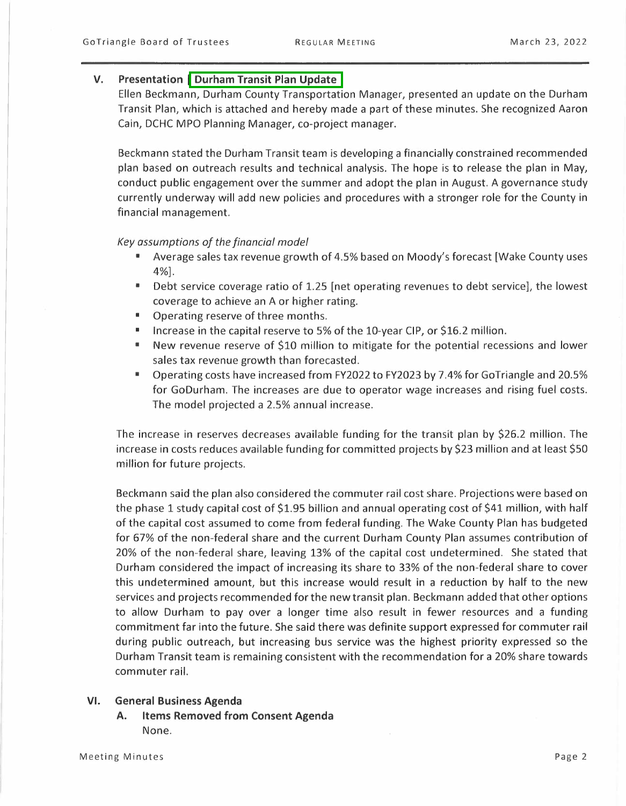### **V. Presentation I Durham Transit Plan Update**

Ellen Beckmann, Durham County Transportation Manager, presented an update on the Durham Transit Plan, which is attached and hereby made a part of these minutes. She recognized Aaron Cain, DCHC MPO Planning Manager, co-project manager.

Beckmann stated the Durham Transit team is developing a financially constrained recommended plan based on outreach results and technical analysis. The hope is to release the plan in May, conduct public engagement over the summer and adopt the plan in August. A governance study currently underway will add new policies and procedures with a stronger role for the County in financial management.

#### *Key assumptions of the financial model*

- Average sales tax revenue growth of 4.5% based on Moody's forecast [Wake County uses 4%].
- Debt service coverage ratio of 1.25 [net operating revenues to debt service], the lowest coverage to achieve an A or higher rating.
- Operating reserve of three months.
- Increase in the capital reserve to 5% of the 10-year CIP, or \$16.2 million.
- New revenue reserve of \$10 million to mitigate for the potential recessions and lower sales tax revenue growth than forecasted.
- Operating costs have increased from FY2022 to FY2023 by 7.4% for GoTriangle and 20.5% for GoDurham. The increases are due to operator wage increases and rising fuel costs. The model projected a 2.5% annual increase.

The increase in reserves decreases available funding for the transit plan by \$26.2 million. The increase in costs reduces available funding for committed projects by \$23 million and at least \$50 million for future projects.

Beckmann said the plan also considered the commuter rail cost share. Projections were based on the phase 1 study capital cost of \$1.95 billion and annual operating cost of \$41 million, with half of the capital cost assumed to come from federal funding. The Wake County Plan has budgeted for 67% of the non-federal share and the current Durham County Plan assumes contribution of 20% of the non-federal share, leaving 13% of the capital cost undetermined. She stated that Durham considered the impact of increasing its share to 33% of the non-federal share to cover this undetermined amount, but this increase would result in a reduction by half to the new services and projects recommended for the new transit plan. Beckmann added that other options to allow Durham to pay over a longer time also result in fewer resources and a funding commitment far into the future. She said there was definite support expressed for commuter rail during public outreach, but increasing bus service was the highest priority expressed so the Durham Transit team is remaining consistent with the recommendation for a 20% share towards commuter rail.

#### **VI. General Business Agenda**

**A. Items Removed from Consent Agenda**  None.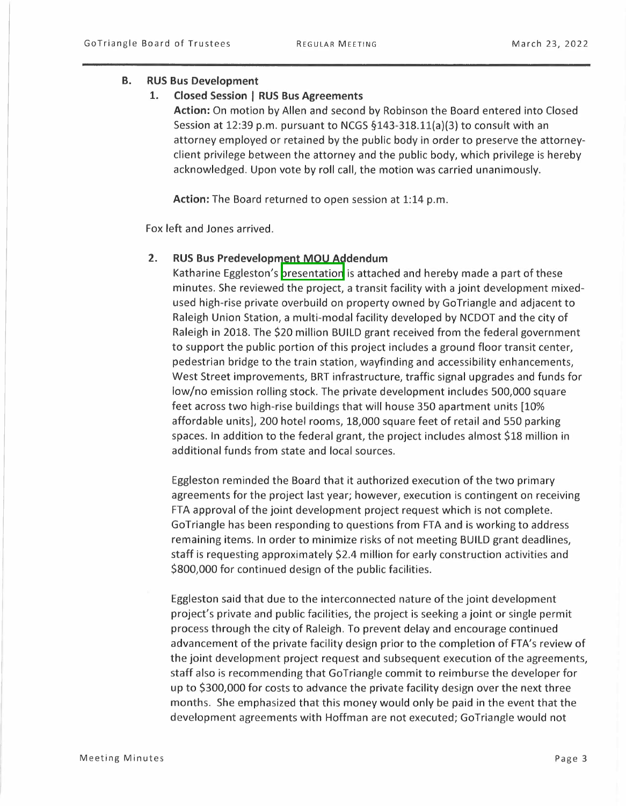### **B. RUS Bus Development**

### **1. Closed Session I RUS Bus Agreements**

**Action:** On motion by Allen and second by Robinson the Board entered into Closed Session at 12:39 p.m. pursuant to NCGS  $§143-318.11(a)(3)$  to consult with an attorney employed or retained by the public body in order to preserve the attorneyclient privilege between the attorney and the public body, which privilege is hereby acknowledged. Upon vote by roll call, the motion was carried unanimously.

**Action:** The Board returned to open session at 1:14 p.m.

Fox left and Jones arrived.

## **2. RUS Bus Predevelopment MOU Addendum**

Katharine Eggleston's presentation is attached and hereby made a part of these minutes. She reviewed the project, a transit facility with a joint development mixedused high-rise private overbuild on property owned by GoTriangle and adjacent to Raleigh Union Station, a multi-modal facility developed by NCDOT and the city of Raleigh in 2018. The \$20 million BUILD grant received from the federal government to support the public portion of this project includes a ground floor transit center, pedestrian bridge to the train station, wayfinding and accessibility enhancements, West Street improvements, BRT infrastructure, traffic signal upgrades and funds for low/no emission rolling stock. The private development includes 500,000 square feet across two high-rise buildings that will house 350 apartment units [10% affordable units], 200 hotel rooms, 18,000 square feet of retail and 550 parking spaces. In addition to the federal grant, the project includes almost \$18 million in additional funds from state and local sources.

Eggleston reminded the Board that it authorized execution of the two primary agreements for the project last year; however, execution is contingent on receiving FTA approval of the joint development project request which is not complete. Go Triangle has been responding to questions from FTA and is working to address remaining items. In order to minimize risks of not meeting BUILD grant deadlines, staff is requesting approximately \$2.4 million for early construction activities and \$800,000 for continued design of the public facilities.

Eggleston said that due to the interconnected nature of the joint development project's private and public facilities, the project is seeking a joint or single permit process through the city of Raleigh. To prevent delay and encourage continued advancement of the private facility design prior to the completion of FTA's review of the joint development project request and subsequent execution of the agreements, staff also is recommending that Go Triangle commit to reimburse the developer for up to \$300,000 for costs to advance the private facility design over the next three months. She emphasized that this money would only be paid in the event that the development agreements with Hoffman are not executed; GoTriangle would not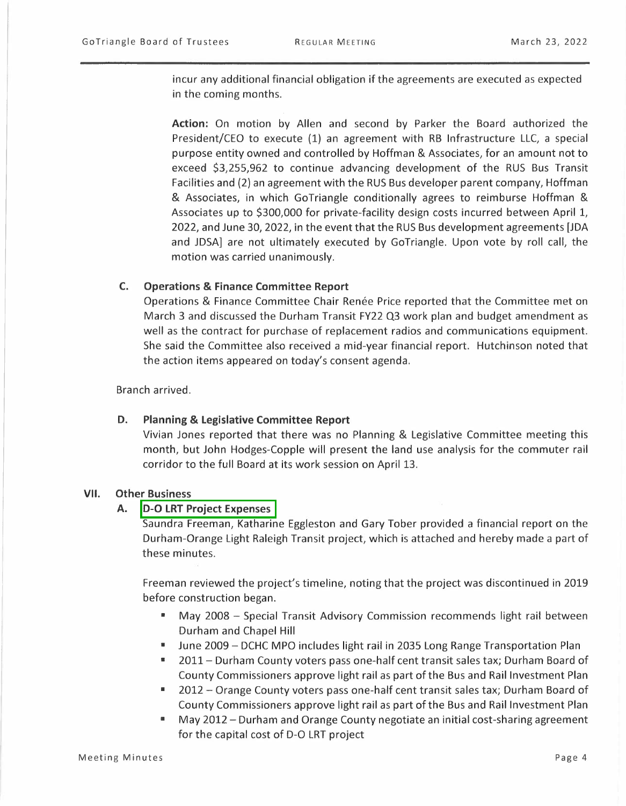incur any additional financial obligation if the agreements are executed as expected in the coming months.

**Action:** On motion by Allen and second by Parker the Board authorized the President/CEO to execute (1) an agreement with RB Infrastructure LLC, a special purpose entity owned and controlled by Hoffman & Associates, for an amount not to exceed \$3,255,962 to continue advancing development of the RUS Bus Transit Facilities and (2) an agreement with the RUS Bus developer parent company, Hoffman & Associates, in which GoTriangle conditionally agrees to reimburse Hoffman & Associates up to \$300,000 for private-facility design costs incurred between April 1, 2022, and June 30, 2022, in the event that the RUS Bus development agreements [JOA and JDSA] are not ultimately executed by GoTriangle. Upon vote by roll call, the motion was carried unanimously.

#### **C. Operations & Finance Committee Report**

Operations & Finance Committee Chair Renee Price reported that the Committee met on March 3 and discussed the Durham Transit FY22 Q3 work plan and budget amendment as well as the contract for purchase of replacement radios and communications equipment. She said the Committee also received a mid-year financial report. Hutchinson noted that the action items appeared on today's consent agenda.

Branch arrived.

#### **D. Planning & Legislative Committee Report**

Vivian Jones reported that there was no Planning & Legislative Committee meeting this month, but John Hodges-Copple will present the land use analysis for the commuter rail corridor to the full Board at its work session on April 13.

#### **VII. Other Business**

#### **A. D-O LRT Project Expenses**

Saundra Freeman, Katharine Eggleston and Gary Tober provided a financial report on the Durham-Orange Light Raleigh Transit project, which is attached and hereby made a part of these minutes.

Freeman reviewed the project's timeline, noting that the project was discontinued in 2019 before construction began.

- May 2008 Special Transit Advisory Commission recommends light rail between Durham and Chapel Hill
- June 2009 DCHC MPO includes light rail in 2035 Long Range Transportation Plan
- 2011- Durham County voters pass one-half cent transit sales tax; Durham Board of County Commissioners approve light rail as part of the Bus and Rail Investment Plan
- $\blacksquare$  2012 Orange County voters pass one-half cent transit sales tax; Durham Board of County Commissioners approve light rail as part of the Bus and Rail Investment Plan
- May 2012 Durham and Orange County negotiate an initial cost-sharing agreement for the capital cost of D-O LRT project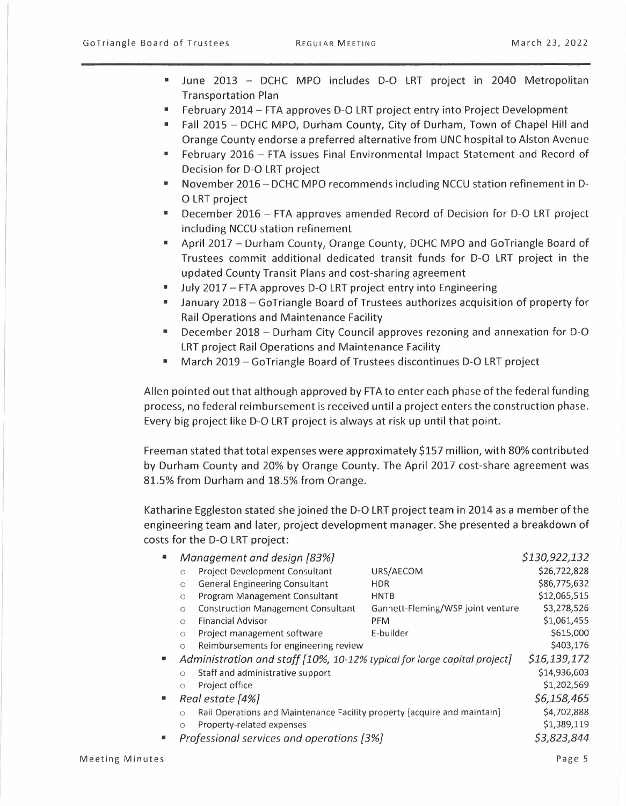- June 2013 DCHC MPO includes D-O LRT project in 2040 Metropolitan Transportation Plan
- February 2014 FTA approves D-O LRT project entry into Project Development
- Fall 2015 DCHC MPO, Durham County, City of Durham, Town of Chapel Hill and Orange County endorse a preferred alternative from UNC hospital to Alston Avenue
- February 2016 FTA issues Final Environmental Impact Statement and Record of Decision for D-O LRT project
- November 2016- DCHC MPO recommends including NCCU station refinement in D-O LRT project
- December 2016 FTA approves amended Record of Decision for D-O LRT project including NCCU station refinement
- April 2017 Durham County, Orange County, DCHC MPO and GoTriangle Board of Trustees commit additional dedicated transit funds for D-O LRT project in the updated County Transit Plans and cost-sharing agreement
- July 2017 FTA approves D-O LRT project entry into Engineering<br>■ January 2018 GoTriangle Board of Trustees authorizes acquisiti
- January 2018 Go Triangle Board of Trustees authorizes acquisition of property for Rail Operations and Maintenance Facility
- December 2018 Durham City Council approves rezoning and annexation for D-O LRT project Rail Operations and Maintenance Facility
- March 2019 Go Triangle Board of Trustees discontinues D-O LRT project

Allen pointed out that although approved by FTA to enter each phase of the federal funding process, no federal reimbursement is received until a project enters the construction phase. Every big project like D-O LRT project is always at risk up until that point.

Freeman stated that total expenses were approximately \$157 million, with 80% contributed by Durham County and 20% by Orange County. The April 2017 cost-share agreement was 81.5% from Durham and 18.5% from Orange.

Katharine Eggleston stated she joined the D-O LRT project team in 2014 as a member of the engineering team and later, project development manager. She presented a breakdown of costs for the D-O LRT project:

| \$130,922,132<br>Management and design [83%] |                                                                                     |                                           |                                   |              |
|----------------------------------------------|-------------------------------------------------------------------------------------|-------------------------------------------|-----------------------------------|--------------|
|                                              | $\circ$                                                                             | <b>Project Development Consultant</b>     | URS/AECOM                         | \$26,722,828 |
|                                              | $\circ$                                                                             | <b>General Engineering Consultant</b>     | <b>HDR</b>                        | \$86,775,632 |
|                                              | $\circ$                                                                             | Program Management Consultant             | <b>HNTB</b>                       | \$12,065,515 |
|                                              | $\circ$                                                                             | <b>Construction Management Consultant</b> | Gannett-Fleming/WSP joint venture | \$3,278,526  |
|                                              | $\circ$                                                                             | <b>Financial Advisor</b>                  | PFM                               | \$1,061,455  |
|                                              | $\circ$                                                                             | Project management software               | E-builder                         | \$615,000    |
|                                              | $\circ$                                                                             | Reimbursements for engineering review     |                                   | \$403,176    |
| ш                                            | Administration and staff [10%, 10-12% typical for large capital project]            |                                           |                                   | \$16,139,172 |
|                                              | $\circ$                                                                             | Staff and administrative support          |                                   | \$14,936,603 |
|                                              | $\circ$                                                                             | Project office                            |                                   | \$1,202,569  |
|                                              | Real estate [4%]                                                                    |                                           |                                   | \$6,158,465  |
|                                              | Rail Operations and Maintenance Facility property [acquire and maintain]<br>$\circ$ |                                           |                                   | \$4,702,888  |
|                                              | $\circ$                                                                             | Property-related expenses                 |                                   | \$1,389,119  |
|                                              |                                                                                     | Professional services and operations [3%] |                                   | \$3,823,844  |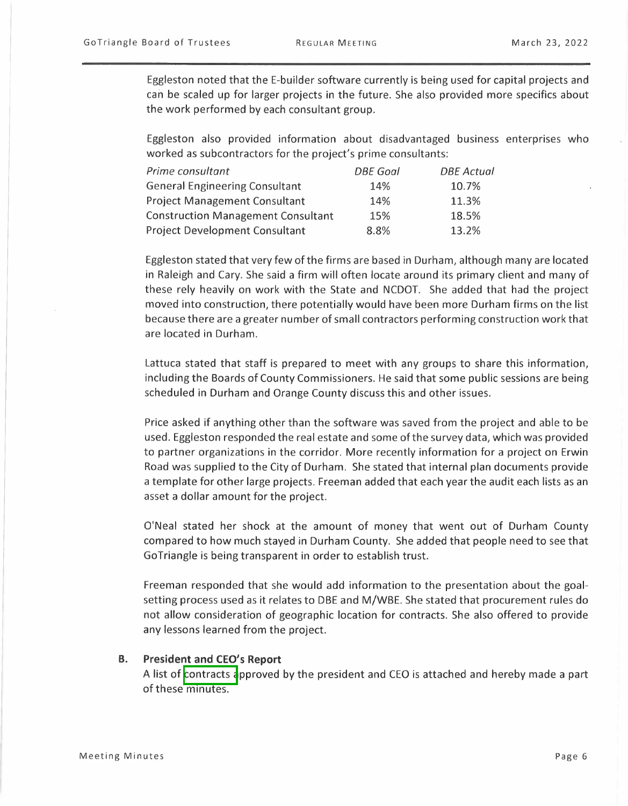Eggleston noted that the E-builder software currently is being used for capital projects and can be scaled up for larger projects in the future. She also provided more specifics about the work performed by each consultant group.

Eggleston also provided information about disadvantaged business enterprises who worked as subcontractors for the project's prime consultants:

| Prime consultant                          | <b>DBE</b> Goal | <b>DBE</b> Actual |
|-------------------------------------------|-----------------|-------------------|
| <b>General Engineering Consultant</b>     | 14%             | 10.7%             |
| <b>Project Management Consultant</b>      | 14%             | 11.3%             |
| <b>Construction Management Consultant</b> | 15%             | 18.5%             |
| <b>Project Development Consultant</b>     | 8.8%            | 13.2%             |

Eggleston stated that very few of the firms are based in Durham, although many are located in Raleigh and Cary. She said a firm will often locate around its primary client and many of these rely heavily on work with the State and NCDOT. She added that had the project moved into construction, there potentially would have been more Durham firms on the list because there are a greater number of small contractors performing construction work that are located in Durham.

Lattuca stated that staff is prepared to meet with any groups to share this information, including the Boards of County Commissioners. He said that some public sessions are being scheduled in Durham and Orange County discuss this and other issues.

Price asked if anything other than the software was saved from the project and able to be used. Eggleston responded the real estate and some of the survey data, which was provided to partner organizations in the corridor. More recently information for a project on Erwin Road was supplied to the City of Durham. She stated that internal plan documents provide a template for other large projects. Freeman added that each year the audit each lists as an asset a dollar amount for the project.

O'Neal stated her shock at the amount of money that went out of Durham County compared to how much stayed in Durham County. She added that people need to see that Go Triangle is being transparent in order to establish trust.

Freeman responded that she would add information to the presentation about the goalsetting process used as it relates to DBE and M/WBE. She stated that procurement rules do not allow consideration of geographic location for contracts. She also offered to provide any lessons learned from the project.

#### **B. President and CEO's Report**

A list of contracts approved by the president and CEO is attached and hereby made a part of these minutes.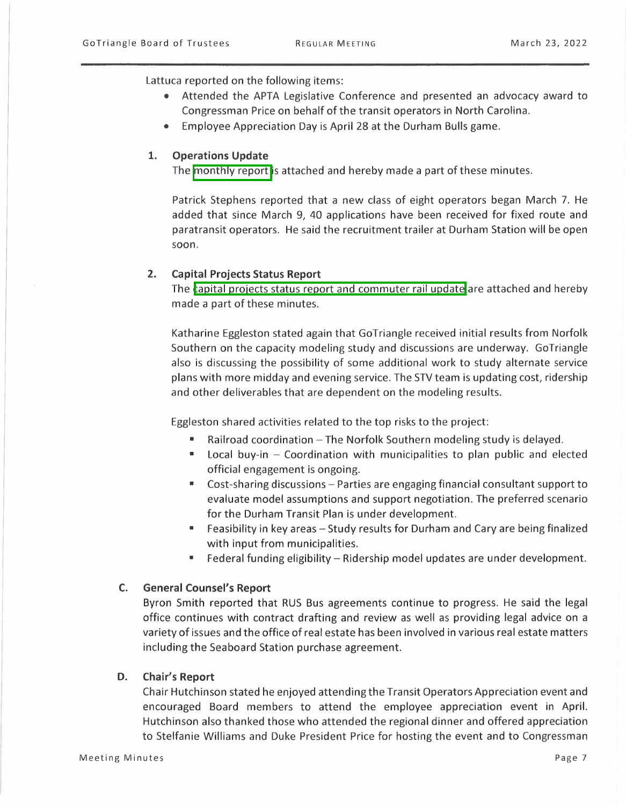Lattuca reported on the following items:

- Attended the APTA Legislative Conference and presented an advocacy award to Congressman Price on behalf of the transit operators in North Carolina.
- Employee Appreciation Day is April 28 at the Durham Bulls game.

# **1. Operations Update**

The monthly report is attached and hereby made a part of these minutes.

Patrick Stephens reported that a new class of eight operators began March 7. He added that since March 9, 40 applications have been received for fixed route and paratransit operators. He said the recruitment trailer at Durham Station will be open soon.

## **2. Capital Projects Status Report**

The capital projects status report and commuter rail update are attached and hereby made a part of these minutes.

Katharine Eggleston stated again that GoTriangle received initial results from Norfolk Southern on the capacity modeling study and discussions are underway. GoTriangle also is discussing the possibility of some additional work to study alternate service plans with more midday and evening service. The STV team is updating cost, ridership and other deliverables that are dependent on the modeling results.

Eggleston shared activities related to the top risks to the project:

- **•** Railroad coordination  $-$  The Norfolk Southern modeling study is delayed.
- Local buy-in  $-$  Coordination with municipalities to plan public and elected official engagement is ongoing.
- Cost-sharing discussions Parties are engaging financial consultant support to evaluate model assumptions and support negotiation. The preferred scenario for the Durham Transit Plan is under development.
- Feasibility in key areas Study results for Durham and Cary are being finalized with input from municipalities.
- Federal funding eligibility Ridership model updates are under development.

# **C. General Counsel's Report**

Byron Smith reported that RUS Bus agreements continue to progress. He said the legal office continues with contract drafting and review as well as providing legal advice on a variety of issues and the office of real estate has been involved in various real estate matters including the Seaboard Station purchase agreement.

# **D. Chair's Report**

Chair Hutchinson stated he enjoyed attending the Transit Operators Appreciation event and encouraged Board members to attend the employee appreciation event in April. Hutchinson also thanked those who attended the regional dinner and offered appreciation to Stelfanie Williams and Duke President Price for hosting the event and to Congressman